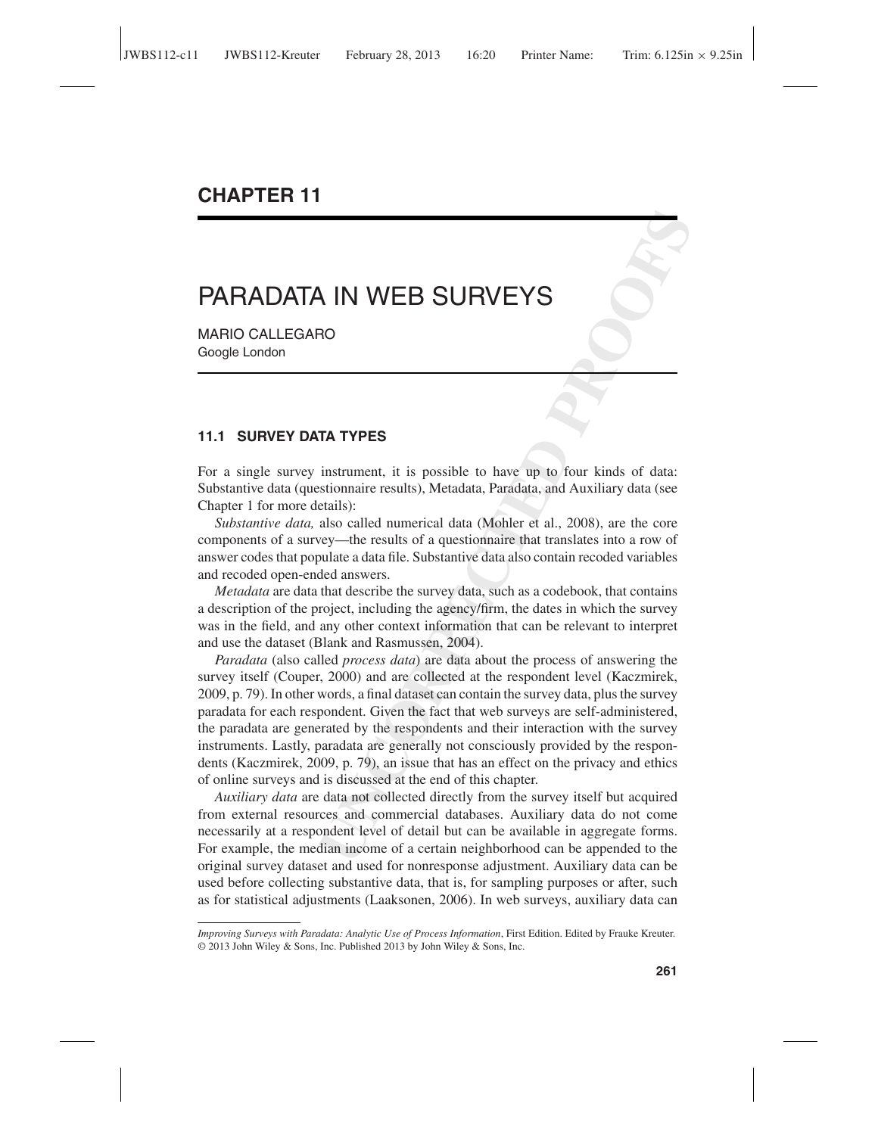## **CHAPTER 11**

# PARADATA IN WEB SURVEYS

MARIO CALLEGARO Google London

## **11.1 SURVEY DATA TYPES**

For a single survey instrument, it is possible to have up to four kinds of data: Substantive data (questionnaire results), Metadata, Paradata, and Auxiliary data (see Chapter 1 for more details):

*Substantive data,* also called numerical data (Mohler et al., 2008), are the core components of a survey—the results of a questionnaire that translates into a row of answer codes that populate a data file. Substantive data also contain recoded variables and recoded open-ended answers.

*Metadata* are data that describe the survey data, such as a codebook, that contains a description of the project, including the agency/firm, the dates in which the survey was in the field, and any other context information that can be relevant to interpret and use the dataset (Blank and Rasmussen, 2004).

**IN WEB SURVEYS**<br> **EXECUTE SET AND INTERFACT SCALUTE AND SET AND A SET AND A SET AND A SET AND A SET AND AN ANTION INTERFACT INTERFACT AND AN AN ANTION SET AND AN AN AN AN AN AN ANDEN BORSET AND AN AN AN AN AN AN AN AN AN** *Paradata* (also called *process data*) are data about the process of answering the survey itself (Couper, 2000) and are collected at the respondent level (Kaczmirek, 2009, p. 79). In other words, a final dataset can contain the survey data, plus the survey paradata for each respondent. Given the fact that web surveys are self-administered, the paradata are generated by the respondents and their interaction with the survey instruments. Lastly, paradata are generally not consciously provided by the respondents (Kaczmirek, 2009, p. 79), an issue that has an effect on the privacy and ethics of online surveys and is discussed at the end of this chapter.

*Auxiliary data* are data not collected directly from the survey itself but acquired from external resources and commercial databases. Auxiliary data do not come necessarily at a respondent level of detail but can be available in aggregate forms. For example, the median income of a certain neighborhood can be appended to the original survey dataset and used for nonresponse adjustment. Auxiliary data can be used before collecting substantive data, that is, for sampling purposes or after, such as for statistical adjustments (Laaksonen, 2006). In web surveys, auxiliary data can

*Improving Surveys with Paradata: Analytic Use of Process Information*, First Edition. Edited by Frauke Kreuter. © 2013 John Wiley & Sons, Inc. Published 2013 by John Wiley & Sons, Inc.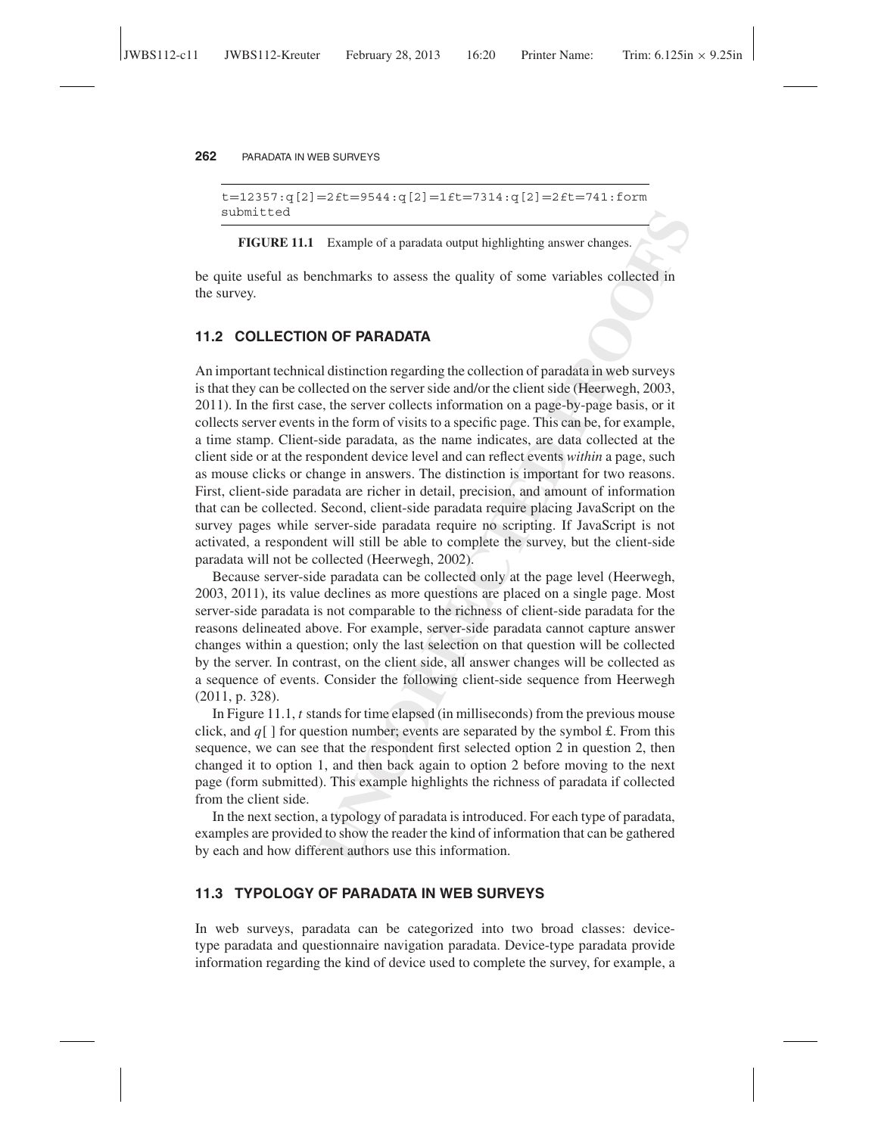```
t=12357:q[2]=2£t=9544:q[2]=1£t=7314:q[2]=2£t=741:form
submitted
```
**FIGURE 11.1** Example of a paradata output highlighting answer changes.

be quite useful as benchmarks to assess the quality of some variables collected in the survey.

## **11.2 COLLECTION OF PARADATA**

**Example of a paradata output highlighting answer changes.**<br> **IN OF PARADATA**<br> **III** distinction regarding the collection of paradata in web surveys<br>
cected on the server side and/or the client side (Heerwegh, 2003,<br>
e, th An important technical distinction regarding the collection of paradata in web surveys is that they can be collected on the server side and/or the client side (Heerwegh, 2003, 2011). In the first case, the server collects information on a page-by-page basis, or it collects server events in the form of visits to a specific page. This can be, for example, a time stamp. Client-side paradata, as the name indicates, are data collected at the client side or at the respondent device level and can reflect events *within* a page, such as mouse clicks or change in answers. The distinction is important for two reasons. First, client-side paradata are richer in detail, precision, and amount of information that can be collected. Second, client-side paradata require placing JavaScript on the survey pages while server-side paradata require no scripting. If JavaScript is not activated, a respondent will still be able to complete the survey, but the client-side paradata will not be collected (Heerwegh, 2002).

Because server-side paradata can be collected only at the page level (Heerwegh, 2003, 2011), its value declines as more questions are placed on a single page. Most server-side paradata is not comparable to the richness of client-side paradata for the reasons delineated above. For example, server-side paradata cannot capture answer changes within a question; only the last selection on that question will be collected by the server. In contrast, on the client side, all answer changes will be collected as a sequence of events. Consider the following client-side sequence from Heerwegh (2011, p. 328).

In Figure 11.1, *t* stands for time elapsed (in milliseconds) from the previous mouse click, and  $q$ [] for question number; events are separated by the symbol £. From this sequence, we can see that the respondent first selected option 2 in question 2, then changed it to option 1, and then back again to option 2 before moving to the next page (form submitted). This example highlights the richness of paradata if collected from the client side.

In the next section, a typology of paradata is introduced. For each type of paradata, examples are provided to show the reader the kind of information that can be gathered by each and how different authors use this information.

#### **11.3 TYPOLOGY OF PARADATA IN WEB SURVEYS**

In web surveys, paradata can be categorized into two broad classes: devicetype paradata and questionnaire navigation paradata. Device-type paradata provide information regarding the kind of device used to complete the survey, for example, a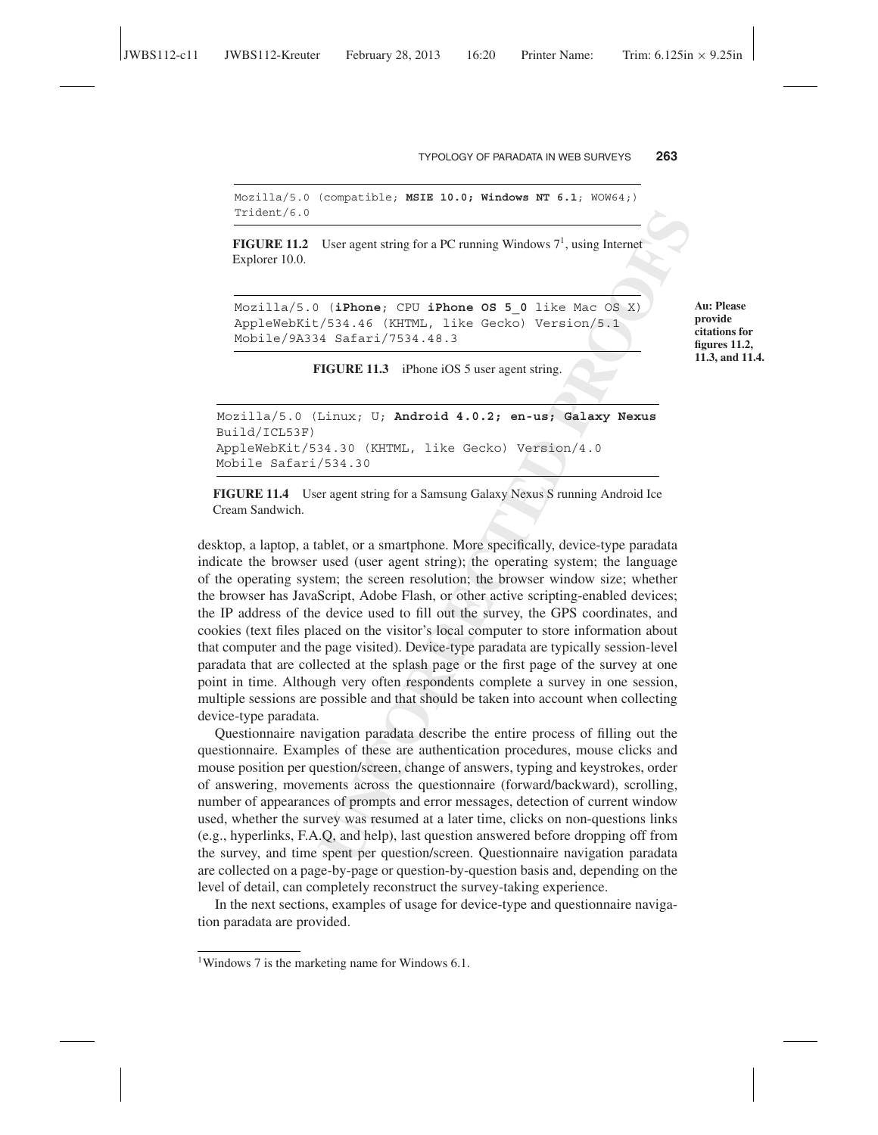Mozilla/5.0 (compatible; **MSIE 10.0; Windows NT 6.1**; WOW64;) Trident/6.0

**FIGURE 11.2** User agent string for a PC running Windows  $7<sup>1</sup>$ , using Internet Explorer 10.0.

Mozilla/5.0 (**iPhone**; CPU **iPhone OS 5\_0** like Mac OS X) AppleWebKit/534.46 (KHTML, like Gecko) Version/5.1 Mobile/9A334 Safari/7534.48.3

**FIGURE 11.3** iPhone iOS 5 user agent string.

**Au: Please provide citations for figures 11.2, 11.3, and 11.4.**

```
Mozilla/5.0 (Linux; U; Android 4.0.2; en-us; Galaxy Nexus
Build/ICL53F)
AppleWebKit/534.30 (KHTML, like Gecko) Version/4.0
Mobile Safari/534.30
```
**FIGURE 11.4** User agent string for a Samsung Galaxy Nexus S running Android Ice Cream Sandwich.

User agent string for a PC running Windows 7<sup>1</sup>, using Internet<br>
(**1Phone** *c* CPU **1Phone OS 5 0 1 i**ke  $\alpha$  **OS**   $\alpha$ )<br> **4 5 5 1 4 5 4 1 1 i**c **0 1 i**c **c** *c* **i**c *c i c <i><b>i* desktop, a laptop, a tablet, or a smartphone. More specifically, device-type paradata indicate the browser used (user agent string); the operating system; the language of the operating system; the screen resolution; the browser window size; whether the browser has JavaScript, Adobe Flash, or other active scripting-enabled devices; the IP address of the device used to fill out the survey, the GPS coordinates, and cookies (text files placed on the visitor's local computer to store information about that computer and the page visited). Device-type paradata are typically session-level paradata that are collected at the splash page or the first page of the survey at one point in time. Although very often respondents complete a survey in one session, multiple sessions are possible and that should be taken into account when collecting device-type paradata.

Questionnaire navigation paradata describe the entire process of filling out the questionnaire. Examples of these are authentication procedures, mouse clicks and mouse position per question/screen, change of answers, typing and keystrokes, order of answering, movements across the questionnaire (forward/backward), scrolling, number of appearances of prompts and error messages, detection of current window used, whether the survey was resumed at a later time, clicks on non-questions links (e.g., hyperlinks, F.A.Q, and help), last question answered before dropping off from the survey, and time spent per question/screen. Questionnaire navigation paradata are collected on a page-by-page or question-by-question basis and, depending on the level of detail, can completely reconstruct the survey-taking experience.

In the next sections, examples of usage for device-type and questionnaire navigation paradata are provided.

<sup>1</sup>Windows 7 is the marketing name for Windows 6.1.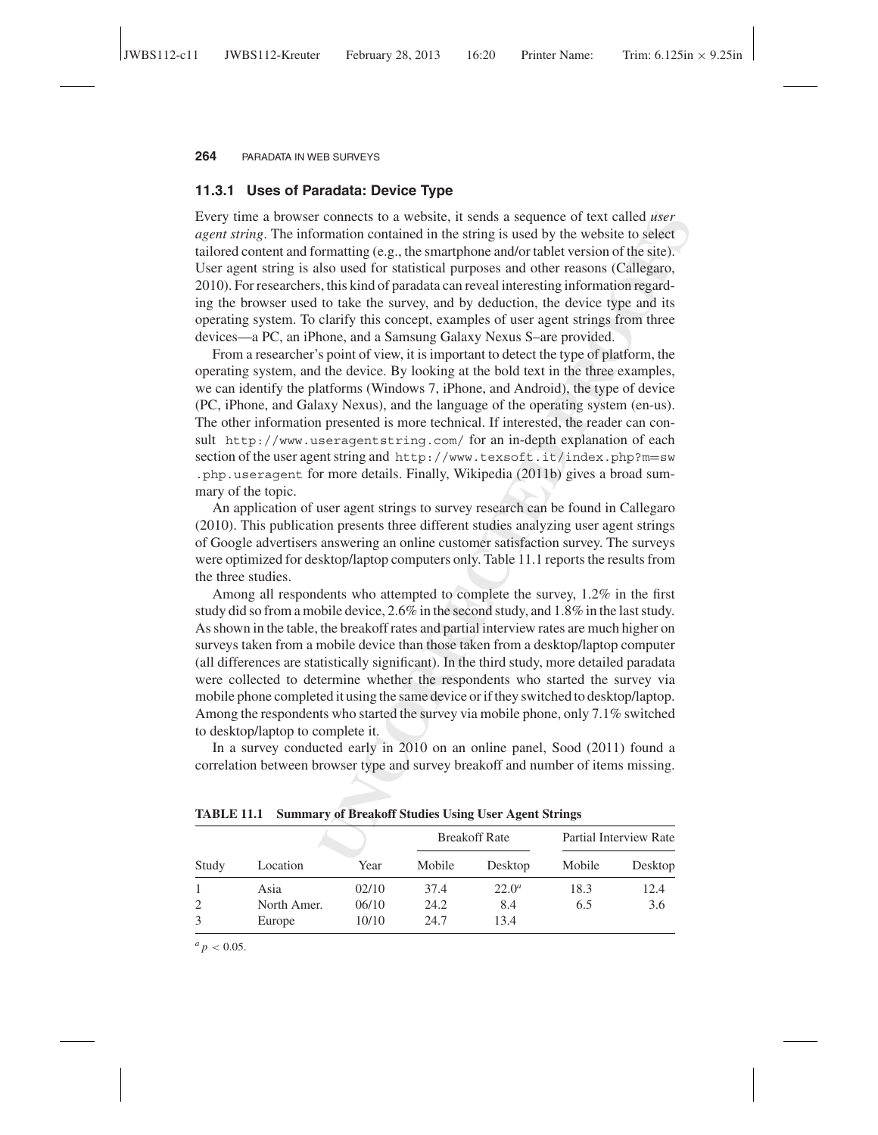#### **11.3.1 Uses of Paradata: Device Type**

Every time a browser connects to a website, it sends a sequence of text called *user agent string*. The information contained in the string is used by the website to select tailored content and formatting (e.g., the smartphone and/or tablet version of the site). User agent string is also used for statistical purposes and other reasons (Callegaro, 2010). For researchers, this kind of paradata can reveal interesting information regarding the browser used to take the survey, and by deduction, the device type and its operating system. To clarify this concept, examples of user agent strings from three devices—a PC, an iPhone, and a Samsung Galaxy Nexus S–are provided.

connects to a website, it sends a sequence of text called *ister*<br>mantion contained in the string is used by the website to select<br>monating (e.g., the smartphone and/or tablet version of the site).<br>Islo used for statistica From a researcher's point of view, it is important to detect the type of platform, the operating system, and the device. By looking at the bold text in the three examples, we can identify the platforms (Windows 7, iPhone, and Android), the type of device (PC, iPhone, and Galaxy Nexus), and the language of the operating system (en-us). The other information presented is more technical. If interested, the reader can consult http://www.useragentstring.com/ for an in-depth explanation of each section of the user agent string and http://www.texsoft.it/index.php?m=sw .php.useragent for more details. Finally, Wikipedia (2011b) gives a broad summary of the topic.

An application of user agent strings to survey research can be found in Callegaro (2010). This publication presents three different studies analyzing user agent strings of Google advertisers answering an online customer satisfaction survey. The surveys were optimized for desktop/laptop computers only. Table 11.1 reports the results from the three studies.

Among all respondents who attempted to complete the survey, 1.2% in the first study did so from a mobile device, 2.6% in the second study, and 1.8% in the last study. As shown in the table, the breakoff rates and partial interview rates are much higher on surveys taken from a mobile device than those taken from a desktop/laptop computer (all differences are statistically significant). In the third study, more detailed paradata were collected to determine whether the respondents who started the survey via mobile phone completed it using the same device or if they switched to desktop/laptop. Among the respondents who started the survey via mobile phone, only 7.1% switched to desktop/laptop to complete it.

In a survey conducted early in 2010 on an online panel, Sood (2011) found a correlation between browser type and survey breakoff and number of items missing.

|        |                       |                | <b>Breakoff Rate</b> |             | Partial Interview Rate |         |
|--------|-----------------------|----------------|----------------------|-------------|------------------------|---------|
| Study  | Location              | Year           | Mobile               | Desktop     | Mobile                 | Desktop |
|        | Asia                  | 02/10          | 37.4                 | $22.0^a$    | 18.3                   | 12.4    |
| 2<br>3 | North Amer.<br>Europe | 06/10<br>10/10 | 24.2<br>24.7         | 8.4<br>13.4 | 6.5                    | 3.6     |

| <b>TABLE 11.1</b> |  | <b>Summary of Breakoff Studies Using User Agent Strings</b> |  |  |
|-------------------|--|-------------------------------------------------------------|--|--|
|                   |  |                                                             |  |  |

 $^{a}p < 0.05$ .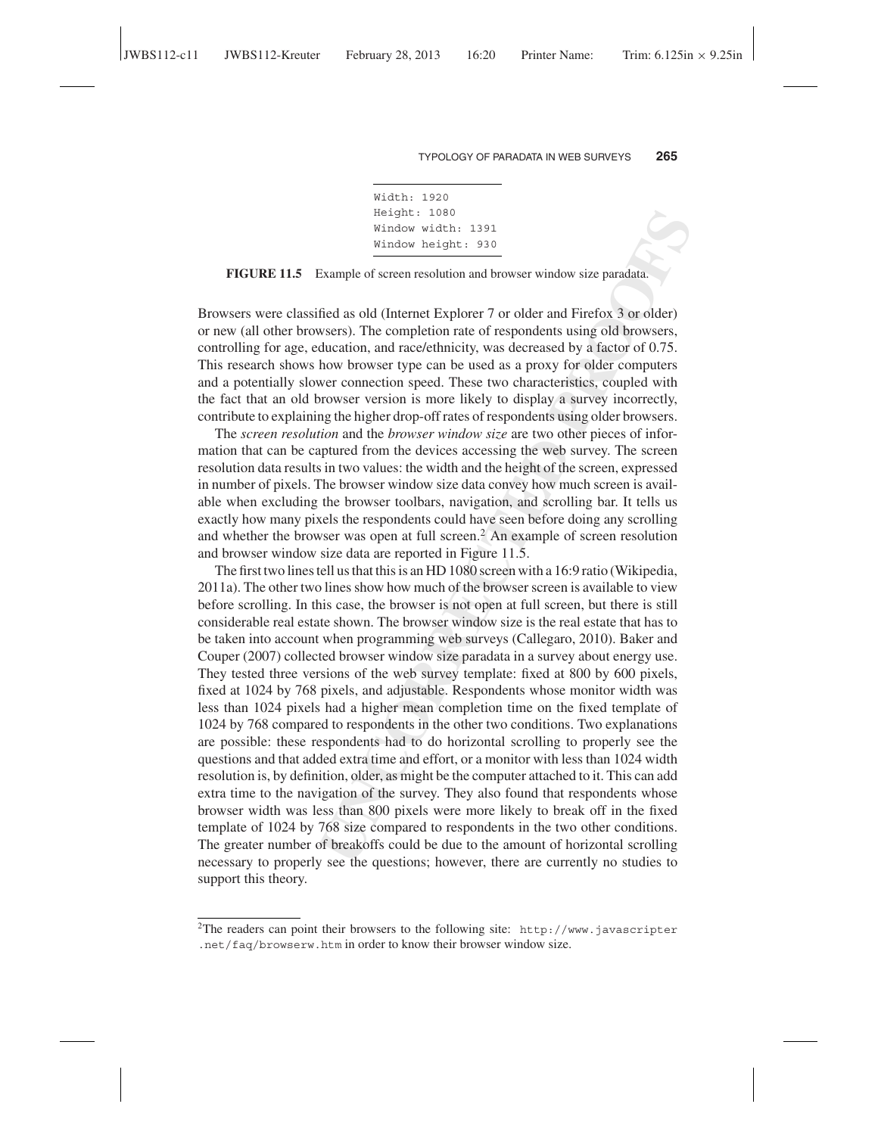```
Width: 1920
Height: 1080
Window width: 1391
Window height: 930
```
#### **FIGURE 11.5** Example of screen resolution and browser window size paradata.

Browsers were classified as old (Internet Explorer 7 or older and Firefox 3 or older) or new (all other browsers). The completion rate of respondents using old browsers, controlling for age, education, and race/ethnicity, was decreased by a factor of 0.75. This research shows how browser type can be used as a proxy for older computers and a potentially slower connection speed. These two characteristics, coupled with the fact that an old browser version is more likely to display a survey incorrectly, contribute to explaining the higher drop-off rates of respondents using older browsers.

The *screen resolution* and the *browser window size* are two other pieces of information that can be captured from the devices accessing the web survey. The screen resolution data results in two values: the width and the height of the screen, expressed in number of pixels. The browser window size data convey how much screen is available when excluding the browser toolbars, navigation, and scrolling bar. It tells us exactly how many pixels the respondents could have seen before doing any scrolling and whether the browser was open at full screen.<sup>2</sup> An example of screen resolution and browser window size data are reported in Figure 11.5.

**Example of screen theorem Window** width: 1393<br> **Window width:** 1393<br> **Window height:** 930<br> **Window height:** 930<br> **Example of screen resolution and browser window size paradata.**<br> **End as Od (Internet Explorer 7 or older** The first two lines tell us that this is an HD 1080 screen with a 16:9 ratio (Wikipedia, 2011a). The other two lines show how much of the browser screen is available to view before scrolling. In this case, the browser is not open at full screen, but there is still considerable real estate shown. The browser window size is the real estate that has to be taken into account when programming web surveys (Callegaro, 2010). Baker and Couper (2007) collected browser window size paradata in a survey about energy use. They tested three versions of the web survey template: fixed at 800 by 600 pixels, fixed at 1024 by 768 pixels, and adjustable. Respondents whose monitor width was less than 1024 pixels had a higher mean completion time on the fixed template of 1024 by 768 compared to respondents in the other two conditions. Two explanations are possible: these respondents had to do horizontal scrolling to properly see the questions and that added extra time and effort, or a monitor with less than 1024 width resolution is, by definition, older, as might be the computer attached to it. This can add extra time to the navigation of the survey. They also found that respondents whose browser width was less than 800 pixels were more likely to break off in the fixed template of 1024 by 768 size compared to respondents in the two other conditions. The greater number of breakoffs could be due to the amount of horizontal scrolling necessary to properly see the questions; however, there are currently no studies to support this theory.

<sup>2</sup>The readers can point their browsers to the following site: http://www.javascripter .net/faq/browserw.htm in order to know their browser window size.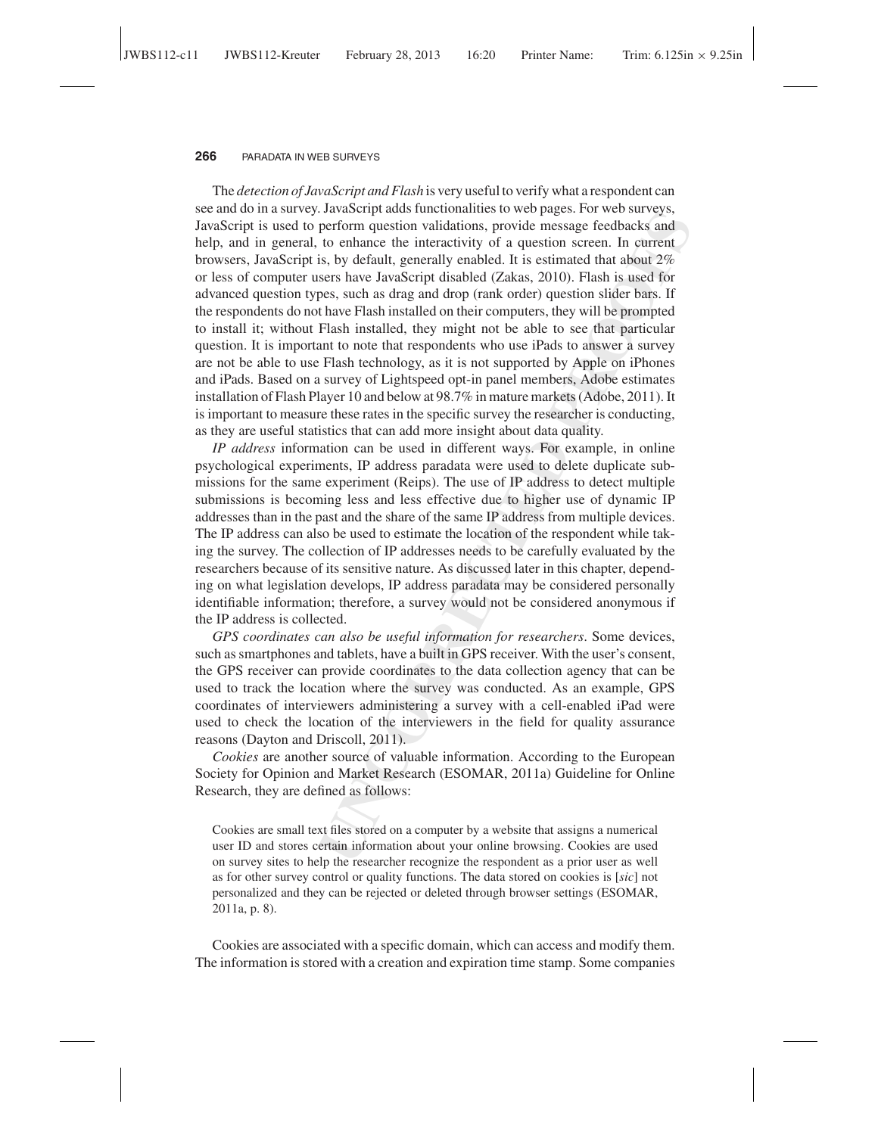**Exaction duration** and the different and the different and to the pactor of the single strow were perform question validations, provide message feedbacks and to enhance the interactivity of a question screen. In current, The *detection of JavaScript and Flash* is very useful to verify what a respondent can see and do in a survey. JavaScript adds functionalities to web pages. For web surveys, JavaScript is used to perform question validations, provide message feedbacks and help, and in general, to enhance the interactivity of a question screen. In current browsers, JavaScript is, by default, generally enabled. It is estimated that about 2% or less of computer users have JavaScript disabled (Zakas, 2010). Flash is used for advanced question types, such as drag and drop (rank order) question slider bars. If the respondents do not have Flash installed on their computers, they will be prompted to install it; without Flash installed, they might not be able to see that particular question. It is important to note that respondents who use iPads to answer a survey are not be able to use Flash technology, as it is not supported by Apple on iPhones and iPads. Based on a survey of Lightspeed opt-in panel members, Adobe estimates installation of Flash Player 10 and below at 98.7% in mature markets (Adobe, 2011). It is important to measure these rates in the specific survey the researcher is conducting, as they are useful statistics that can add more insight about data quality.

*IP address* information can be used in different ways. For example, in online psychological experiments, IP address paradata were used to delete duplicate submissions for the same experiment (Reips). The use of IP address to detect multiple submissions is becoming less and less effective due to higher use of dynamic IP addresses than in the past and the share of the same IP address from multiple devices. The IP address can also be used to estimate the location of the respondent while taking the survey. The collection of IP addresses needs to be carefully evaluated by the researchers because of its sensitive nature. As discussed later in this chapter, depending on what legislation develops, IP address paradata may be considered personally identifiable information; therefore, a survey would not be considered anonymous if the IP address is collected.

*GPS coordinates can also be useful information for researchers*. Some devices, such as smartphones and tablets, have a built in GPS receiver. With the user's consent, the GPS receiver can provide coordinates to the data collection agency that can be used to track the location where the survey was conducted. As an example, GPS coordinates of interviewers administering a survey with a cell-enabled iPad were used to check the location of the interviewers in the field for quality assurance reasons (Dayton and Driscoll, 2011).

*Cookies* are another source of valuable information. According to the European Society for Opinion and Market Research (ESOMAR, 2011a) Guideline for Online Research, they are defined as follows:

Cookies are small text files stored on a computer by a website that assigns a numerical user ID and stores certain information about your online browsing. Cookies are used on survey sites to help the researcher recognize the respondent as a prior user as well as for other survey control or quality functions. The data stored on cookies is [*sic*] not personalized and they can be rejected or deleted through browser settings (ESOMAR, 2011a, p. 8).

Cookies are associated with a specific domain, which can access and modify them. The information is stored with a creation and expiration time stamp. Some companies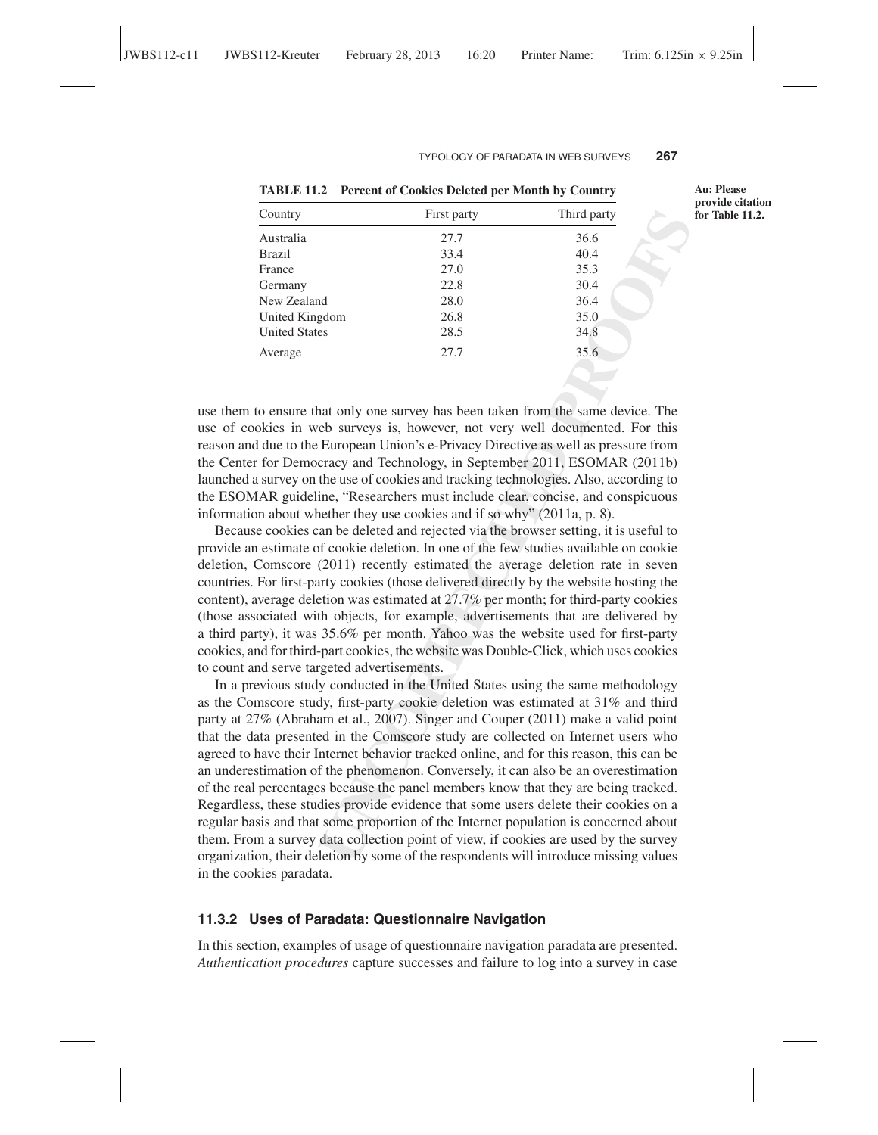| <b>TABLE 11.2</b> Percent of Cookies Deleted per Month by Country |             |             |  |  |
|-------------------------------------------------------------------|-------------|-------------|--|--|
| Country                                                           | First party | Third party |  |  |
| Australia                                                         | 27.7        | 36.6        |  |  |
| <b>Brazil</b>                                                     | 33.4        | 40.4        |  |  |
| France                                                            | 27.0        | 35.3        |  |  |
| Germany                                                           | 22.8        | 30.4        |  |  |
| New Zealand                                                       | 28.0        | 36.4        |  |  |
| United Kingdom                                                    | 26.8        | 35.0        |  |  |
| <b>United States</b>                                              | 28.5        | 34.8        |  |  |
| Average                                                           | 27.7        | 35.6        |  |  |
|                                                                   |             |             |  |  |

**Au: Please provide citation for Table 11.2.**

use them to ensure that only one survey has been taken from the same device. The use of cookies in web surveys is, however, not very well documented. For this reason and due to the European Union's e-Privacy Directive as well as pressure from the Center for Democracy and Technology, in September 2011, ESOMAR (2011b) launched a survey on the use of cookies and tracking technologies. Also, according to the ESOMAR guideline, "Researchers must include clear, concise, and conspicuous information about whether they use cookies and if so why" (2011a, p. 8).

Because cookies can be deleted and rejected via the browser setting, it is useful to provide an estimate of cookie deletion. In one of the few studies available on cookie deletion, Comscore (2011) recently estimated the average deletion rate in seven countries. For first-party cookies (those delivered directly by the website hosting the content), average deletion was estimated at 27.7% per month; for third-party cookies (those associated with objects, for example, advertisements that are delivered by a third party), it was 35.6% per month. Yahoo was the website used for first-party cookies, and for third-part cookies, the website was Double-Click, which uses cookies to count and serve targeted advertisements.

First party<br>
27.7 36.6<br>
33.4<br>
32.7 36.6<br>
33.4<br>
22.8 36.6<br>
22.8 36.9<br>
22.8 36.4<br>
22.8 36.4<br>
22.8 36.4<br>
22.8 36.4<br>
22.8 36.4<br>
22.8 36.4<br>
22.8 28.0<br>
22.8 36.4<br>
22.7 35.6<br>
22.7 35.6<br>
22.7 35.6<br>
22.7 35.6<br>
22.7 35.6<br>
22.7 35.6<br> In a previous study conducted in the United States using the same methodology as the Comscore study, first-party cookie deletion was estimated at 31% and third party at 27% (Abraham et al., 2007). Singer and Couper (2011) make a valid point that the data presented in the Comscore study are collected on Internet users who agreed to have their Internet behavior tracked online, and for this reason, this can be an underestimation of the phenomenon. Conversely, it can also be an overestimation of the real percentages because the panel members know that they are being tracked. Regardless, these studies provide evidence that some users delete their cookies on a regular basis and that some proportion of the Internet population is concerned about them. From a survey data collection point of view, if cookies are used by the survey organization, their deletion by some of the respondents will introduce missing values in the cookies paradata.

#### **11.3.2 Uses of Paradata: Questionnaire Navigation**

In this section, examples of usage of questionnaire navigation paradata are presented. *Authentication procedures* capture successes and failure to log into a survey in case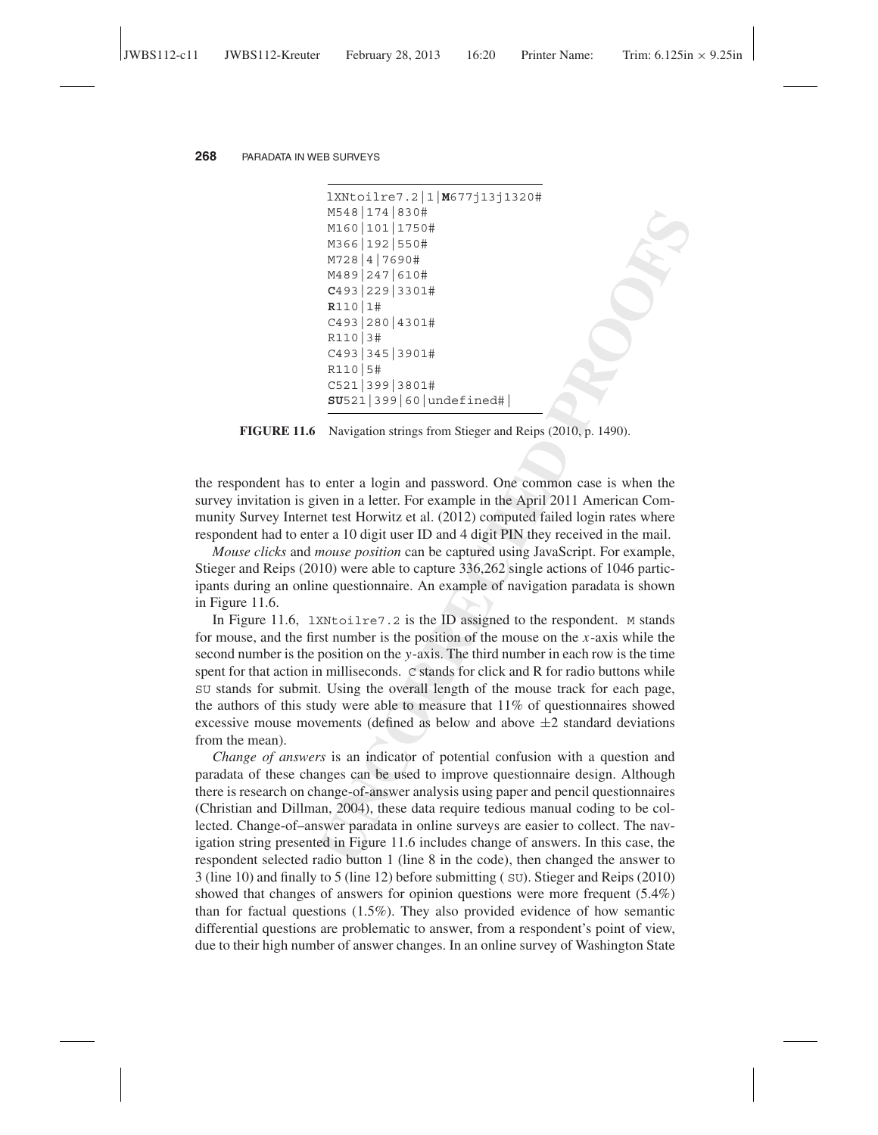```
M5481174 |B30<del>6</del><br>
M160|101|1750#<br>
M160|101|1750#<br>
M366|192|550#<br>
M486|192|350#<br>
M489|22|300#<br>
M489|22|300#<br>
R410|16#<br>
R410|15#<br>
R410|15#<br>
C493|345|3001#<br>
C493|345|3001#<br>
C493|345|3001#<br>
C493|345|3001#<br>
C493|345|3001#<br>
C493
 lXNtoilre7.2|1|M677j13j1320#
  M548|174|830#
  M160|101|1750#
  M366|192|550#
  M728|4|7690#
  M489|247|610#
  C493|229|3301#
  R110|1#
  C493|280|4301#
  R110|3#
  C493|345|3901#
  R110|5#
  C521|399|3801#
  SU521|399|60|undefined#|
```
**FIGURE 11.6** Navigation strings from Stieger and Reips (2010, p. 1490).

the respondent has to enter a login and password. One common case is when the survey invitation is given in a letter. For example in the April 2011 American Community Survey Internet test Horwitz et al. (2012) computed failed login rates where respondent had to enter a 10 digit user ID and 4 digit PIN they received in the mail.

*Mouse clicks* and *mouse position* can be captured using JavaScript. For example, Stieger and Reips (2010) were able to capture 336,262 single actions of 1046 participants during an online questionnaire. An example of navigation paradata is shown in Figure 11.6.

In Figure 11.6,  $lxNtoilre7.2$  is the ID assigned to the respondent. M stands for mouse, and the first number is the position of the mouse on the *x*-axis while the second number is the position on the *y*-axis. The third number in each row is the time spent for that action in milliseconds. C stands for click and R for radio buttons while SU stands for submit. Using the overall length of the mouse track for each page, the authors of this study were able to measure that  $11\%$  of questionnaires showed excessive mouse movements (defined as below and above  $\pm 2$  standard deviations from the mean).

*Change of answers* is an indicator of potential confusion with a question and paradata of these changes can be used to improve questionnaire design. Although there is research on change-of-answer analysis using paper and pencil questionnaires (Christian and Dillman, 2004), these data require tedious manual coding to be collected. Change-of–answer paradata in online surveys are easier to collect. The navigation string presented in Figure 11.6 includes change of answers. In this case, the respondent selected radio button 1 (line 8 in the code), then changed the answer to 3 (line 10) and finally to 5 (line 12) before submitting ( SU). Stieger and Reips (2010) showed that changes of answers for opinion questions were more frequent (5.4%) than for factual questions (1.5%). They also provided evidence of how semantic differential questions are problematic to answer, from a respondent's point of view, due to their high number of answer changes. In an online survey of Washington State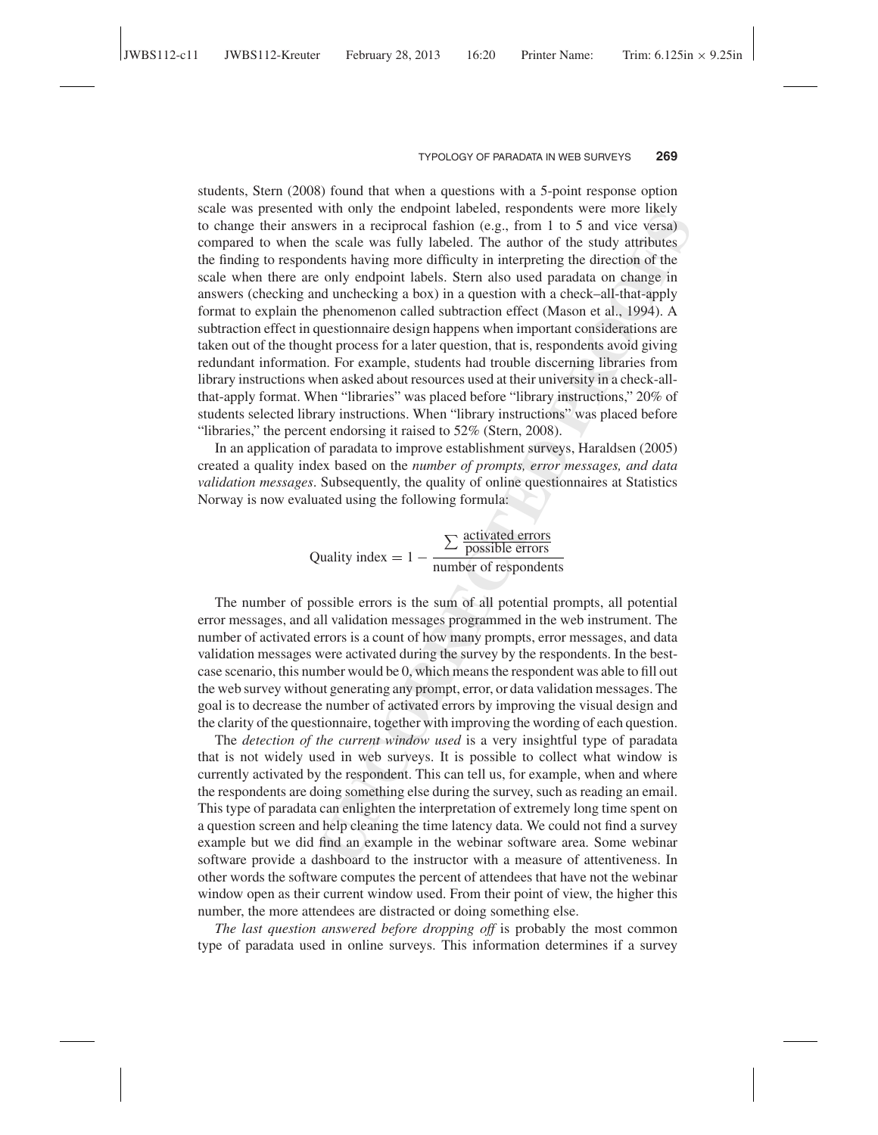win that the caption tracciot, responsed we the mote racts of<br>the responsible and the responsed in the properties in a reciprocal fashion (e.g., from 1 to 5 and vice versa)<br>escale was fully labeled. The author of the stud students, Stern (2008) found that when a questions with a 5-point response option scale was presented with only the endpoint labeled, respondents were more likely to change their answers in a reciprocal fashion (e.g., from 1 to 5 and vice versa) compared to when the scale was fully labeled. The author of the study attributes the finding to respondents having more difficulty in interpreting the direction of the scale when there are only endpoint labels. Stern also used paradata on change in answers (checking and unchecking a box) in a question with a check–all-that-apply format to explain the phenomenon called subtraction effect (Mason et al., 1994). A subtraction effect in questionnaire design happens when important considerations are taken out of the thought process for a later question, that is, respondents avoid giving redundant information. For example, students had trouble discerning libraries from library instructions when asked about resources used at their university in a check-allthat-apply format. When "libraries" was placed before "library instructions," 20% of students selected library instructions. When "library instructions" was placed before "libraries," the percent endorsing it raised to 52% (Stern, 2008).

In an application of paradata to improve establishment surveys, Haraldsen (2005) created a quality index based on the *number of prompts, error messages, and data validation messages*. Subsequently, the quality of online questionnaires at Statistics Norway is now evaluated using the following formula:

> Quality index  $= 1 \sum$  activated errors possible errors number of respondents

The number of possible errors is the sum of all potential prompts, all potential error messages, and all validation messages programmed in the web instrument. The number of activated errors is a count of how many prompts, error messages, and data validation messages were activated during the survey by the respondents. In the bestcase scenario, this number would be 0, which means the respondent was able to fill out the web survey without generating any prompt, error, or data validation messages. The goal is to decrease the number of activated errors by improving the visual design and the clarity of the questionnaire, together with improving the wording of each question.

The *detection of the current window used* is a very insightful type of paradata that is not widely used in web surveys. It is possible to collect what window is currently activated by the respondent. This can tell us, for example, when and where the respondents are doing something else during the survey, such as reading an email. This type of paradata can enlighten the interpretation of extremely long time spent on a question screen and help cleaning the time latency data. We could not find a survey example but we did find an example in the webinar software area. Some webinar software provide a dashboard to the instructor with a measure of attentiveness. In other words the software computes the percent of attendees that have not the webinar window open as their current window used. From their point of view, the higher this number, the more attendees are distracted or doing something else.

*The last question answered before dropping off* is probably the most common type of paradata used in online surveys. This information determines if a survey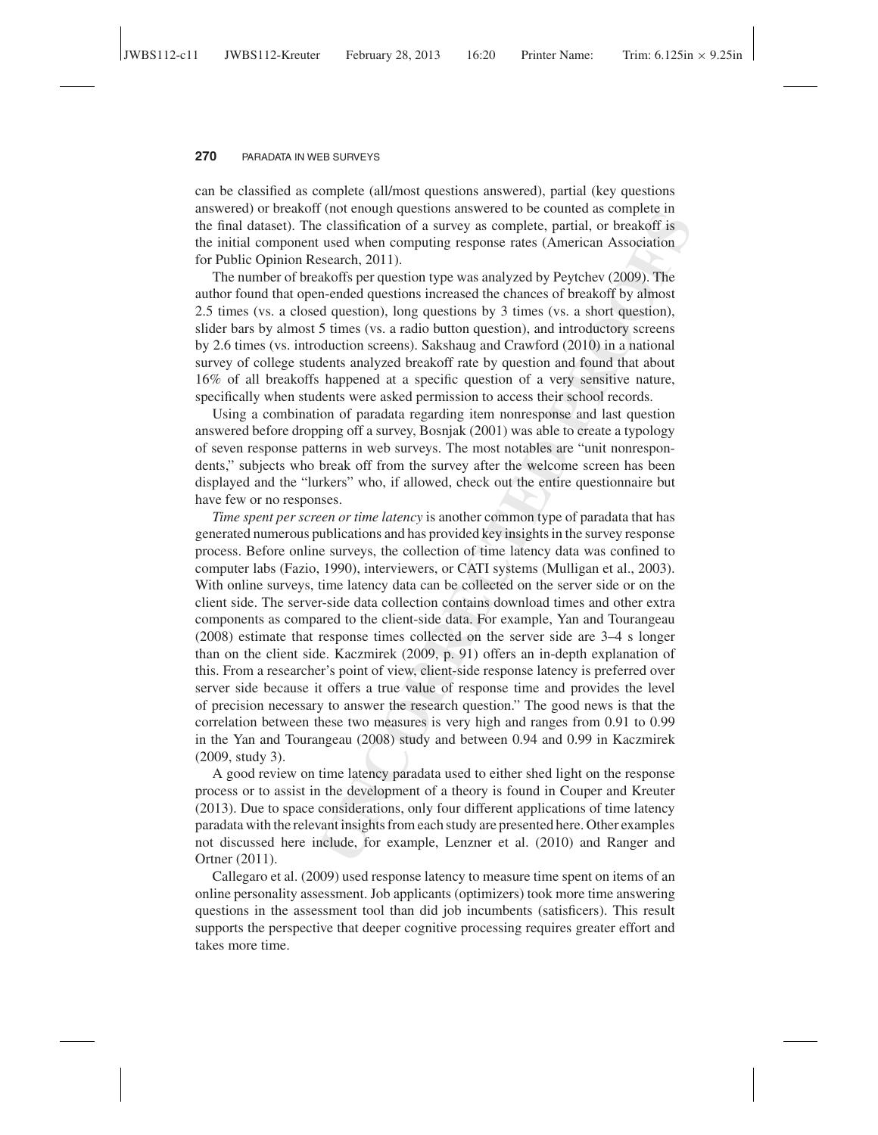can be classified as complete (all/most questions answered), partial (key questions answered) or breakoff (not enough questions answered to be counted as complete in the final dataset). The classification of a survey as complete, partial, or breakoff is the initial component used when computing response rates (American Association for Public Opinion Research, 2011).

The number of breakoffs per question type was analyzed by Peytchev (2009). The author found that open-ended questions increased the chances of breakoff by almost 2.5 times (vs. a closed question), long questions by 3 times (vs. a short question), slider bars by almost 5 times (vs. a radio button question), and introductory screens by 2.6 times (vs. introduction screens). Sakshaug and Crawford (2010) in a national survey of college students analyzed breakoff rate by question and found that about 16% of all breakoffs happened at a specific question of a very sensitive nature, specifically when students were asked permission to access their school records.

Using a combination of paradata regarding item nonresponse and last question answered before dropping off a survey, Bosnjak (2001) was able to create a typology of seven response patterns in web surveys. The most notables are "unit nonrespondents," subjects who break off from the survey after the welcome screen has been displayed and the "lurkers" who, if allowed, check out the entire questionnaire but have few or no responses.

to to colouge questions answetch obe colunted as tomplete metal consideration of a survey as complete, partial, or breakoff is used when computing response rates (American Association akoffs per question type was analyzed *Time spent per screen or time latency* is another common type of paradata that has generated numerous publications and has provided key insights in the survey response process. Before online surveys, the collection of time latency data was confined to computer labs (Fazio, 1990), interviewers, or CATI systems (Mulligan et al., 2003). With online surveys, time latency data can be collected on the server side or on the client side. The server-side data collection contains download times and other extra components as compared to the client-side data. For example, Yan and Tourangeau (2008) estimate that response times collected on the server side are 3–4 s longer than on the client side. Kaczmirek (2009, p. 91) offers an in-depth explanation of this. From a researcher's point of view, client-side response latency is preferred over server side because it offers a true value of response time and provides the level of precision necessary to answer the research question." The good news is that the correlation between these two measures is very high and ranges from 0.91 to 0.99 in the Yan and Tourangeau (2008) study and between 0.94 and 0.99 in Kaczmirek (2009, study 3).

A good review on time latency paradata used to either shed light on the response process or to assist in the development of a theory is found in Couper and Kreuter (2013). Due to space considerations, only four different applications of time latency paradata with the relevant insights from each study are presented here. Other examples not discussed here include, for example, Lenzner et al. (2010) and Ranger and Ortner (2011).

Callegaro et al. (2009) used response latency to measure time spent on items of an online personality assessment. Job applicants (optimizers) took more time answering questions in the assessment tool than did job incumbents (satisficers). This result supports the perspective that deeper cognitive processing requires greater effort and takes more time.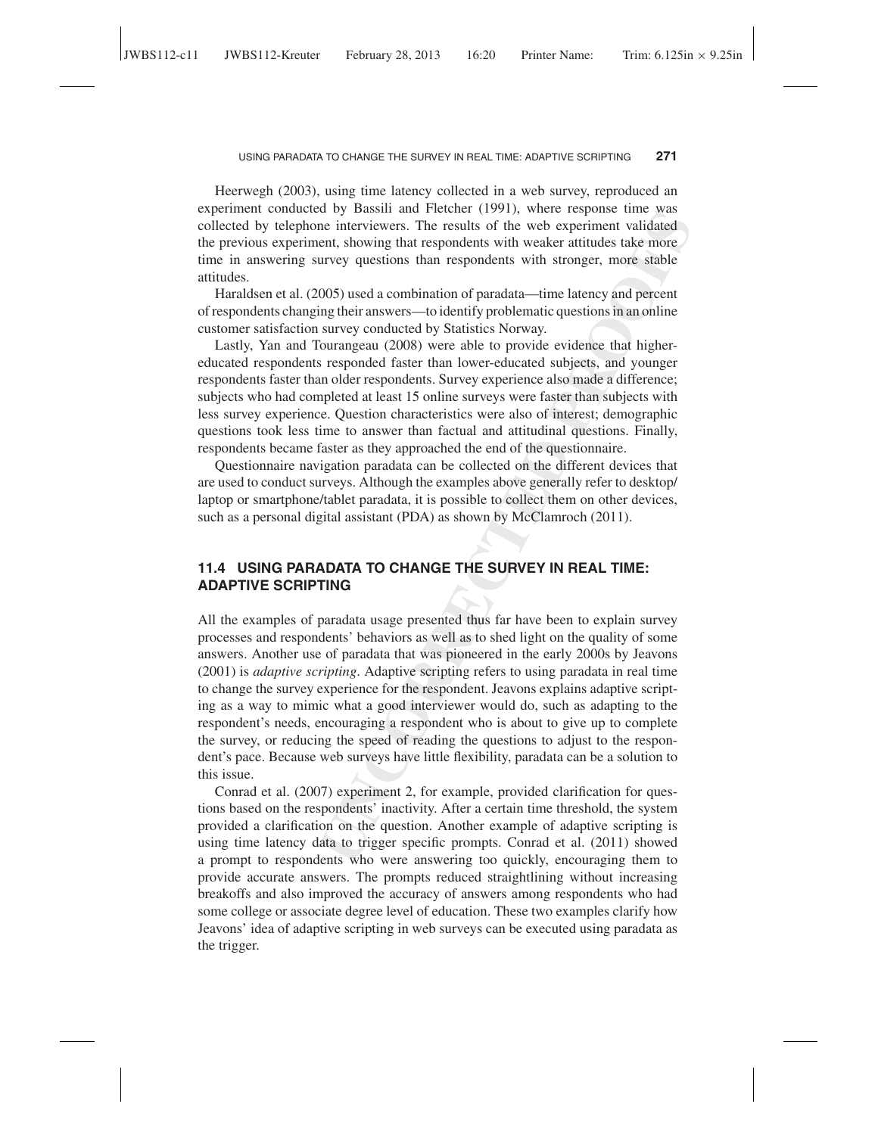#### USING PARADATA TO CHANGE THE SURVEY IN REAL TIME: ADAPTIVE SCRIPTING **271**

Heerwegh (2003), using time latency collected in a web survey, reproduced an experiment conducted by Bassili and Fletcher (1991), where response time was collected by telephone interviewers. The results of the web experiment validated the previous experiment, showing that respondents with weaker attitudes take more time in answering survey questions than respondents with stronger, more stable attitudes.

Haraldsen et al. (2005) used a combination of paradata—time latency and percent of respondents changing their answers—to identify problematic questions in an online customer satisfaction survey conducted by Statistics Norway.

Lastly, Yan and Tourangeau (2008) were able to provide evidence that highereducated respondents responded faster than lower-educated subjects, and younger respondents faster than older respondents. Survey experience also made a difference; subjects who had completed at least 15 online surveys were faster than subjects with less survey experience. Question characteristics were also of interest; demographic questions took less time to answer than factual and attitudinal questions. Finally, respondents became faster as they approached the end of the questionnaire.

Questionnaire navigation paradata can be collected on the different devices that are used to conduct surveys. Although the examples above generally refer to desktop/ laptop or smartphone/tablet paradata, it is possible to collect them on other devices, such as a personal digital assistant (PDA) as shown by McClamroch (2011).

## **11.4 USING PARADATA TO CHANGE THE SURVEY IN REAL TIME: ADAPTIVE SCRIPTING**

**U** sy bassin and 'retuchet (1>51), white 'tappost cannot be the me interviewers. The results of the web experiment validated ent, showing that respondents with weaker attitudes take more parentic states and combination of All the examples of paradata usage presented thus far have been to explain survey processes and respondents' behaviors as well as to shed light on the quality of some answers. Another use of paradata that was pioneered in the early 2000s by Jeavons (2001) is *adaptive scripting*. Adaptive scripting refers to using paradata in real time to change the survey experience for the respondent. Jeavons explains adaptive scripting as a way to mimic what a good interviewer would do, such as adapting to the respondent's needs, encouraging a respondent who is about to give up to complete the survey, or reducing the speed of reading the questions to adjust to the respondent's pace. Because web surveys have little flexibility, paradata can be a solution to this issue.

Conrad et al. (2007) experiment 2, for example, provided clarification for questions based on the respondents' inactivity. After a certain time threshold, the system provided a clarification on the question. Another example of adaptive scripting is using time latency data to trigger specific prompts. Conrad et al. (2011) showed a prompt to respondents who were answering too quickly, encouraging them to provide accurate answers. The prompts reduced straightlining without increasing breakoffs and also improved the accuracy of answers among respondents who had some college or associate degree level of education. These two examples clarify how Jeavons' idea of adaptive scripting in web surveys can be executed using paradata as the trigger.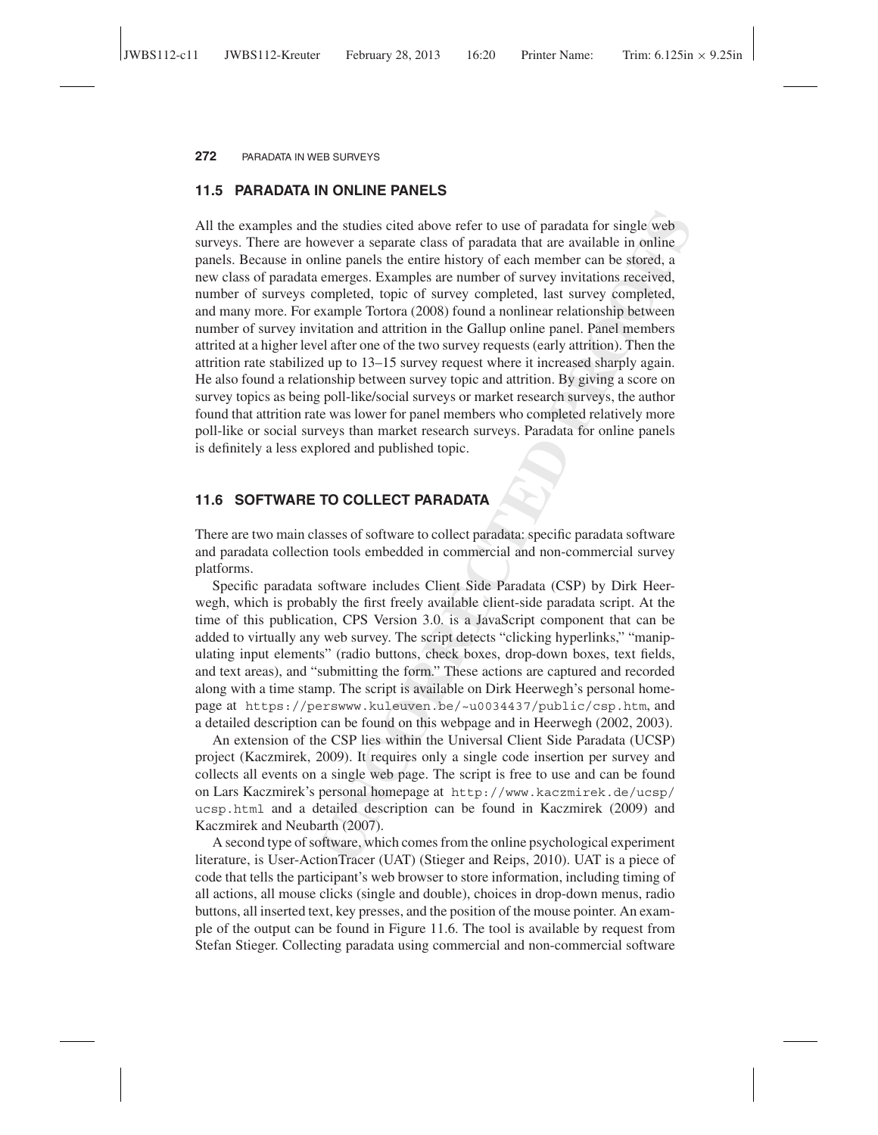## **11.5 PARADATA IN ONLINE PANELS**

the studies cited above refer to use of paradata for single web<br>
the studies cited above refer to use of member can be stored, a<br>
lime panels he entire instory of each member can be stored, a<br>
emerges. Examples are number All the examples and the studies cited above refer to use of paradata for single web surveys. There are however a separate class of paradata that are available in online panels. Because in online panels the entire history of each member can be stored, a new class of paradata emerges. Examples are number of survey invitations received, number of surveys completed, topic of survey completed, last survey completed, and many more. For example Tortora (2008) found a nonlinear relationship between number of survey invitation and attrition in the Gallup online panel. Panel members attrited at a higher level after one of the two survey requests (early attrition). Then the attrition rate stabilized up to 13–15 survey request where it increased sharply again. He also found a relationship between survey topic and attrition. By giving a score on survey topics as being poll-like/social surveys or market research surveys, the author found that attrition rate was lower for panel members who completed relatively more poll-like or social surveys than market research surveys. Paradata for online panels is definitely a less explored and published topic.

## **11.6 SOFTWARE TO COLLECT PARADATA**

There are two main classes of software to collect paradata: specific paradata software and paradata collection tools embedded in commercial and non-commercial survey platforms.

Specific paradata software includes Client Side Paradata (CSP) by Dirk Heerwegh, which is probably the first freely available client-side paradata script. At the time of this publication, CPS Version 3.0. is a JavaScript component that can be added to virtually any web survey. The script detects "clicking hyperlinks," "manipulating input elements" (radio buttons, check boxes, drop-down boxes, text fields, and text areas), and "submitting the form." These actions are captured and recorded along with a time stamp. The script is available on Dirk Heerwegh's personal homepage at https://perswww.kuleuven.be/~u0034437/public/csp.htm, and a detailed description can be found on this webpage and in Heerwegh (2002, 2003).

An extension of the CSP lies within the Universal Client Side Paradata (UCSP) project (Kaczmirek, 2009). It requires only a single code insertion per survey and collects all events on a single web page. The script is free to use and can be found on Lars Kaczmirek's personal homepage at http://www.kaczmirek.de/ucsp/ ucsp.html and a detailed description can be found in Kaczmirek (2009) and Kaczmirek and Neubarth (2007).

A second type of software, which comes from the online psychological experiment literature, is User-ActionTracer (UAT) (Stieger and Reips, 2010). UAT is a piece of code that tells the participant's web browser to store information, including timing of all actions, all mouse clicks (single and double), choices in drop-down menus, radio buttons, all inserted text, key presses, and the position of the mouse pointer. An example of the output can be found in Figure 11.6. The tool is available by request from Stefan Stieger. Collecting paradata using commercial and non-commercial software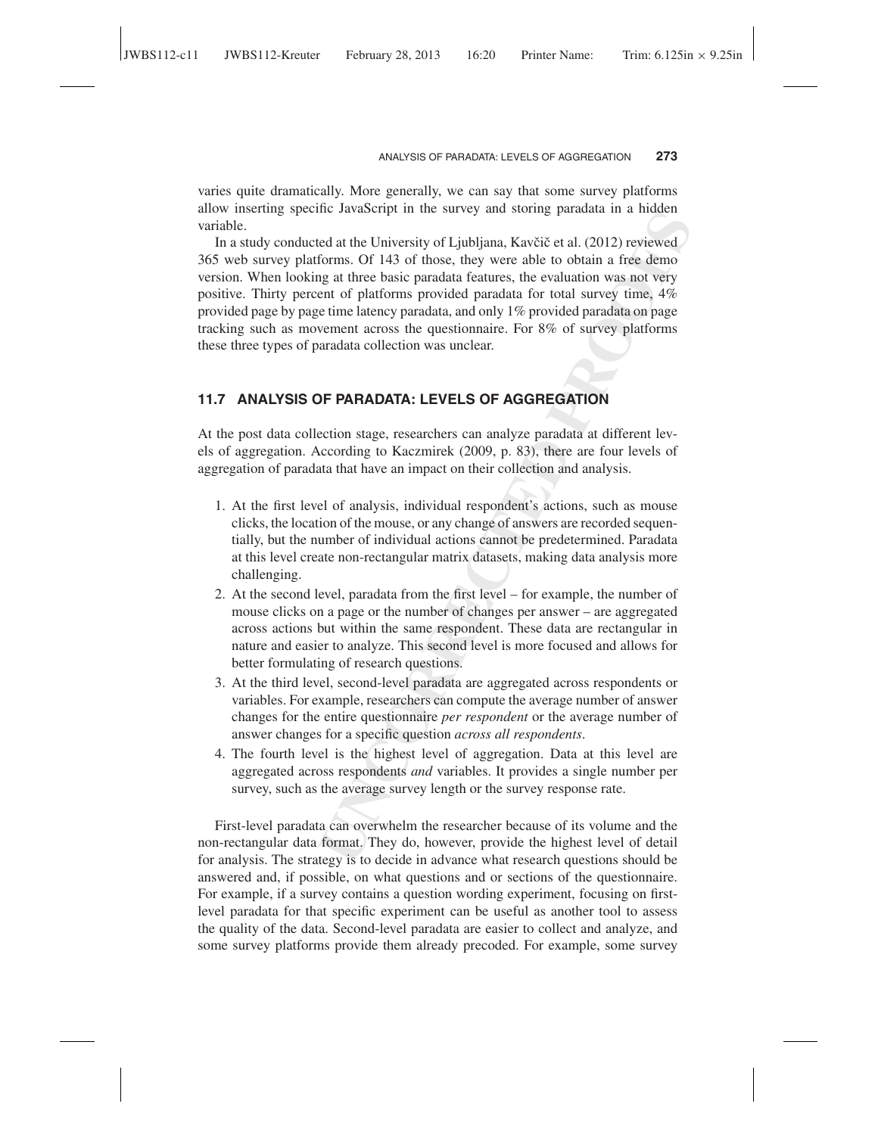#### ANALYSIS OF PARADATA: LEVELS OF AGGREGATION **273**

varies quite dramatically. More generally, we can say that some survey platforms allow inserting specific JavaScript in the survey and storing paradata in a hidden variable.

The statistic of the University of Lipliplian, Kavčić et al. (2012) reviewed<br>data the University of Lipliplian, Kavčić et al. (2012) reviewed<br>forms. Of 143 of those, they were able to obtain a free demonstrated paradata fo In a study conducted at the University of Ljubljana, Kavčič et al. (2012) reviewed 365 web survey platforms. Of 143 of those, they were able to obtain a free demo version. When looking at three basic paradata features, the evaluation was not very positive. Thirty percent of platforms provided paradata for total survey time, 4% provided page by page time latency paradata, and only 1% provided paradata on page tracking such as movement across the questionnaire. For 8% of survey platforms these three types of paradata collection was unclear.

## **11.7 ANALYSIS OF PARADATA: LEVELS OF AGGREGATION**

At the post data collection stage, researchers can analyze paradata at different levels of aggregation. According to Kaczmirek (2009, p. 83), there are four levels of aggregation of paradata that have an impact on their collection and analysis.

- 1. At the first level of analysis, individual respondent's actions, such as mouse clicks, the location of the mouse, or any change of answers are recorded sequentially, but the number of individual actions cannot be predetermined. Paradata at this level create non-rectangular matrix datasets, making data analysis more challenging.
- 2. At the second level, paradata from the first level for example, the number of mouse clicks on a page or the number of changes per answer – are aggregated across actions but within the same respondent. These data are rectangular in nature and easier to analyze. This second level is more focused and allows for better formulating of research questions.
- 3. At the third level, second-level paradata are aggregated across respondents or variables. For example, researchers can compute the average number of answer changes for the entire questionnaire *per respondent* or the average number of answer changes for a specific question *across all respondents*.
- 4. The fourth level is the highest level of aggregation. Data at this level are aggregated across respondents *and* variables. It provides a single number per survey, such as the average survey length or the survey response rate.

First-level paradata can overwhelm the researcher because of its volume and the non-rectangular data format. They do, however, provide the highest level of detail for analysis. The strategy is to decide in advance what research questions should be answered and, if possible, on what questions and or sections of the questionnaire. For example, if a survey contains a question wording experiment, focusing on firstlevel paradata for that specific experiment can be useful as another tool to assess the quality of the data. Second-level paradata are easier to collect and analyze, and some survey platforms provide them already precoded. For example, some survey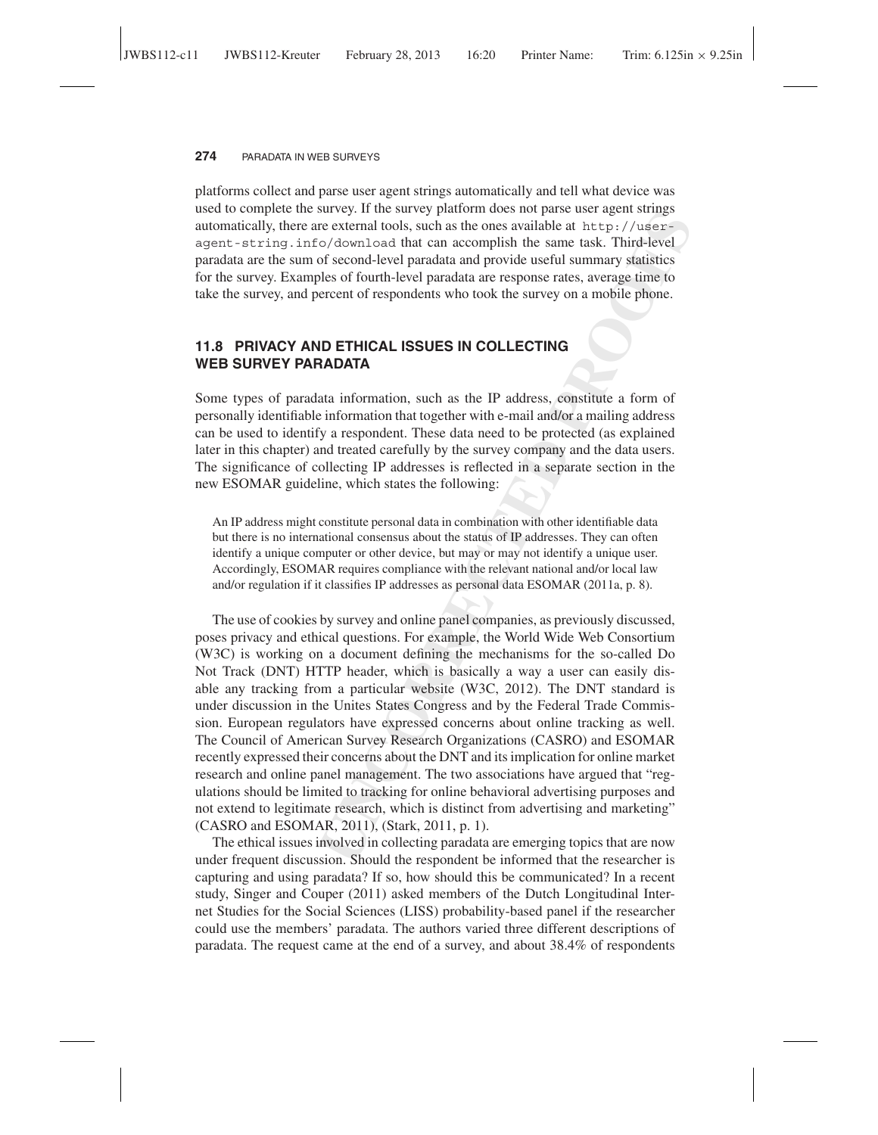platforms collect and parse user agent strings automatically and tell what device was used to complete the survey. If the survey platform does not parse user agent strings automatically, there are external tools, such as the ones available at  $http://user$ agent-string.info/download that can accomplish the same task. Third-level paradata are the sum of second-level paradata and provide useful summary statistics for the survey. Examples of fourth-level paradata are response rates, average time to take the survey, and percent of respondents who took the survey on a mobile phone.

## **11.8 PRIVACY AND ETHICAL ISSUES IN COLLECTING WEB SURVEY PARADATA**

Some types of paradata information, such as the IP address, constitute a form of personally identifiable information that together with e-mail and/or a mailing address can be used to identify a respondent. These data need to be protected (as explained later in this chapter) and treated carefully by the survey company and the data users. The significance of collecting IP addresses is reflected in a separate section in the new ESOMAR guideline, which states the following:

An IP address might constitute personal data in combination with other identifiable data but there is no international consensus about the status of IP addresses. They can often identify a unique computer or other device, but may or may not identify a unique user. Accordingly, ESOMAR requires compliance with the relevant national and/or local law and/or regulation if it classifies IP addresses as personal data ESOMAR (2011a, p. 8).

**UNCORRECTED PROOFS** The use of cookies by survey and online panel companies, as previously discussed, poses privacy and ethical questions. For example, the World Wide Web Consortium (W3C) is working on a document defining the mechanisms for the so-called Do Not Track (DNT) HTTP header, which is basically a way a user can easily disable any tracking from a particular website (W3C, 2012). The DNT standard is under discussion in the Unites States Congress and by the Federal Trade Commission. European regulators have expressed concerns about online tracking as well. The Council of American Survey Research Organizations (CASRO) and ESOMAR recently expressed their concerns about the DNT and its implication for online market research and online panel management. The two associations have argued that "regulations should be limited to tracking for online behavioral advertising purposes and not extend to legitimate research, which is distinct from advertising and marketing" (CASRO and ESOMAR, 2011), (Stark, 2011, p. 1).

The ethical issues involved in collecting paradata are emerging topics that are now under frequent discussion. Should the respondent be informed that the researcher is capturing and using paradata? If so, how should this be communicated? In a recent study, Singer and Couper (2011) asked members of the Dutch Longitudinal Internet Studies for the Social Sciences (LISS) probability-based panel if the researcher could use the members' paradata. The authors varied three different descriptions of paradata. The request came at the end of a survey, and about 38.4% of respondents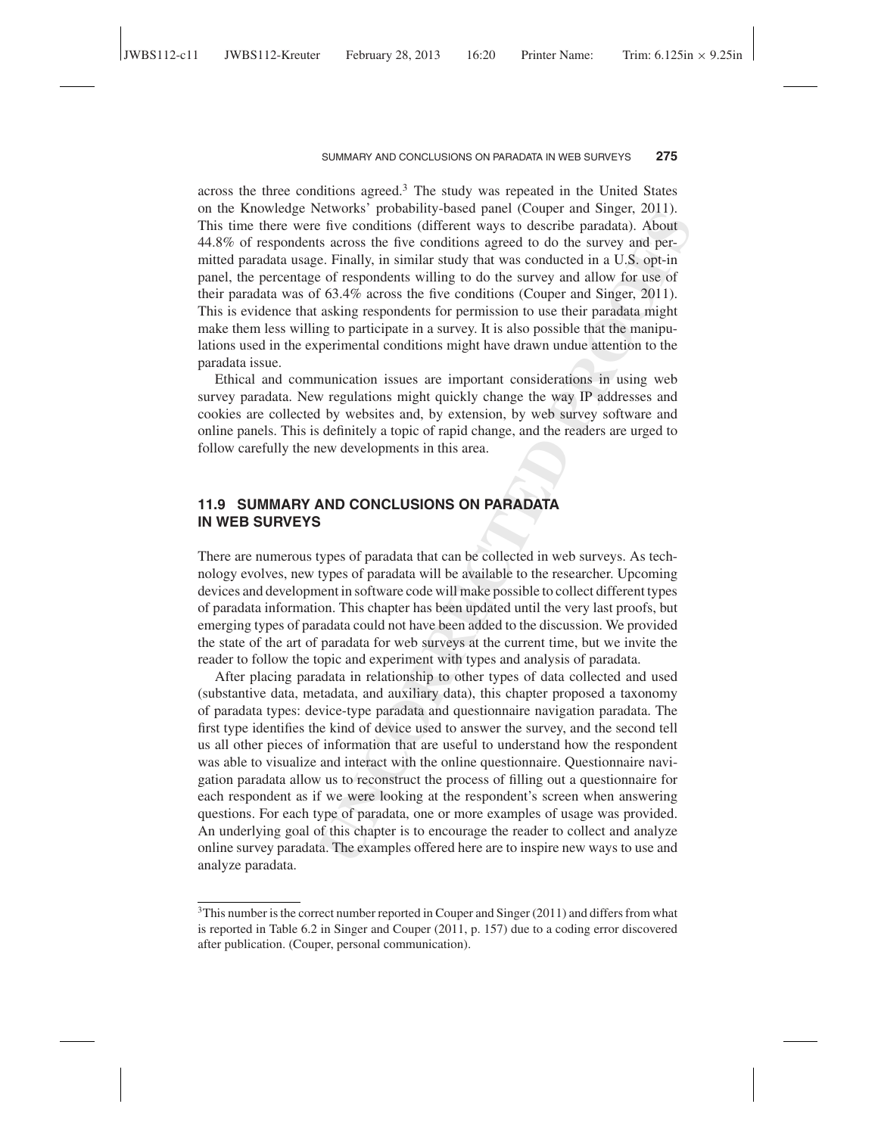#### SUMMARY AND CONCLUSIONS ON PARADATA IN WEB SURVEYS **275**

across the three conditions agreed.<sup>3</sup> The study was repeated in the United States on the Knowledge Networks' probability-based panel (Couper and Singer, 2011). This time there were five conditions (different ways to describe paradata). About 44.8% of respondents across the five conditions agreed to do the survey and permitted paradata usage. Finally, in similar study that was conducted in a U.S. opt-in panel, the percentage of respondents willing to do the survey and allow for use of their paradata was of 63.4% across the five conditions (Couper and Singer, 2011). This is evidence that asking respondents for permission to use their paradata might make them less willing to participate in a survey. It is also possible that the manipulations used in the experimental conditions might have drawn undue attention to the paradata issue.

Ethical and communication issues are important considerations in using web survey paradata. New regulations might quickly change the way IP addresses and cookies are collected by websites and, by extension, by web survey software and online panels. This is definitely a topic of rapid change, and the readers are urged to follow carefully the new developments in this area.

## **11.9 SUMMARY AND CONCLUSIONS ON PARADATA IN WEB SURVEYS**

There are numerous types of paradata that can be collected in web surveys. As technology evolves, new types of paradata will be available to the researcher. Upcoming devices and development in software code will make possible to collect different types of paradata information. This chapter has been updated until the very last proofs, but emerging types of paradata could not have been added to the discussion. We provided the state of the art of paradata for web surveys at the current time, but we invite the reader to follow the topic and experiment with types and analysis of paradata.

convars procedurity-usare partic Couper and Singer and Singer Conferent Consect particles for the conditions (different ways to describe paradata). About s across the five conditions agreed to do the survey and per-<br> **E**. After placing paradata in relationship to other types of data collected and used (substantive data, metadata, and auxiliary data), this chapter proposed a taxonomy of paradata types: device-type paradata and questionnaire navigation paradata. The first type identifies the kind of device used to answer the survey, and the second tell us all other pieces of information that are useful to understand how the respondent was able to visualize and interact with the online questionnaire. Questionnaire navigation paradata allow us to reconstruct the process of filling out a questionnaire for each respondent as if we were looking at the respondent's screen when answering questions. For each type of paradata, one or more examples of usage was provided. An underlying goal of this chapter is to encourage the reader to collect and analyze online survey paradata. The examples offered here are to inspire new ways to use and analyze paradata.

<sup>&</sup>lt;sup>3</sup>This number is the correct number reported in Couper and Singer (2011) and differs from what is reported in Table 6.2 in Singer and Couper (2011, p. 157) due to a coding error discovered after publication. (Couper, personal communication).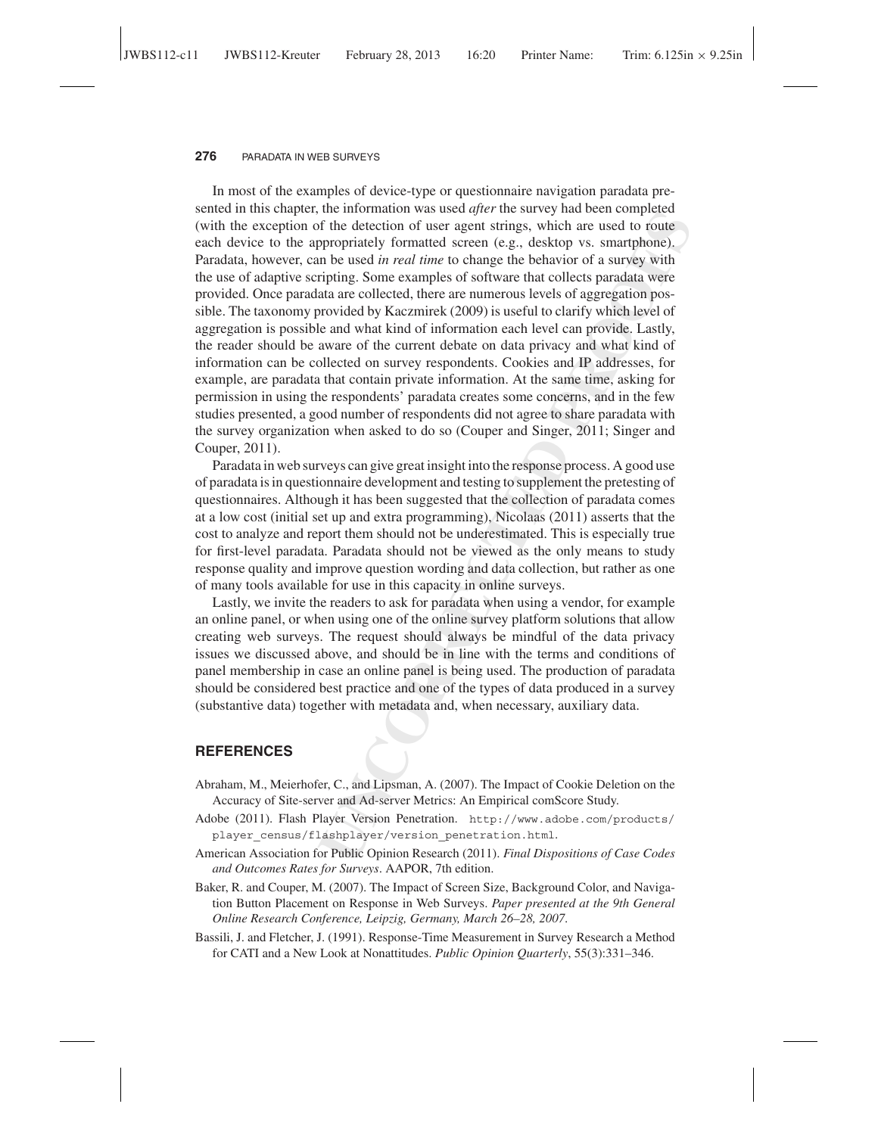Incommation was ussed *inger* to survey national methom and incomprese to an incomprene and *in real in real term* in the used *in real term* in the used *in real in real in real term* (e.g., desktop vs. smartphone). Onne In most of the examples of device-type or questionnaire navigation paradata presented in this chapter, the information was used *after* the survey had been completed (with the exception of the detection of user agent strings, which are used to route each device to the appropriately formatted screen (e.g., desktop vs. smartphone). Paradata, however, can be used *in real time* to change the behavior of a survey with the use of adaptive scripting. Some examples of software that collects paradata were provided. Once paradata are collected, there are numerous levels of aggregation possible. The taxonomy provided by Kaczmirek (2009) is useful to clarify which level of aggregation is possible and what kind of information each level can provide. Lastly, the reader should be aware of the current debate on data privacy and what kind of information can be collected on survey respondents. Cookies and IP addresses, for example, are paradata that contain private information. At the same time, asking for permission in using the respondents' paradata creates some concerns, and in the few studies presented, a good number of respondents did not agree to share paradata with the survey organization when asked to do so (Couper and Singer, 2011; Singer and Couper, 2011).

Paradata in web surveys can give great insight into the response process. A good use of paradata is in questionnaire development and testing to supplement the pretesting of questionnaires. Although it has been suggested that the collection of paradata comes at a low cost (initial set up and extra programming), Nicolaas (2011) asserts that the cost to analyze and report them should not be underestimated. This is especially true for first-level paradata. Paradata should not be viewed as the only means to study response quality and improve question wording and data collection, but rather as one of many tools available for use in this capacity in online surveys.

Lastly, we invite the readers to ask for paradata when using a vendor, for example an online panel, or when using one of the online survey platform solutions that allow creating web surveys. The request should always be mindful of the data privacy issues we discussed above, and should be in line with the terms and conditions of panel membership in case an online panel is being used. The production of paradata should be considered best practice and one of the types of data produced in a survey (substantive data) together with metadata and, when necessary, auxiliary data.

#### **REFERENCES**

- Abraham, M., Meierhofer, C., and Lipsman, A. (2007). The Impact of Cookie Deletion on the Accuracy of Site-server and Ad-server Metrics: An Empirical comScore Study.
- Adobe (2011). Flash Player Version Penetration. http://www.adobe.com/products/ player\_census/flashplayer/version\_penetration.html.
- American Association for Public Opinion Research (2011). *Final Dispositions of Case Codes and Outcomes Rates for Surveys*. AAPOR, 7th edition.
- Baker, R. and Couper, M. (2007). The Impact of Screen Size, Background Color, and Navigation Button Placement on Response in Web Surveys. *Paper presented at the 9th General Online Research Conference, Leipzig, Germany, March 26–28, 2007*.
- Bassili, J. and Fletcher, J. (1991). Response-Time Measurement in Survey Research a Method for CATI and a New Look at Nonattitudes. *Public Opinion Quarterly*, 55(3):331–346.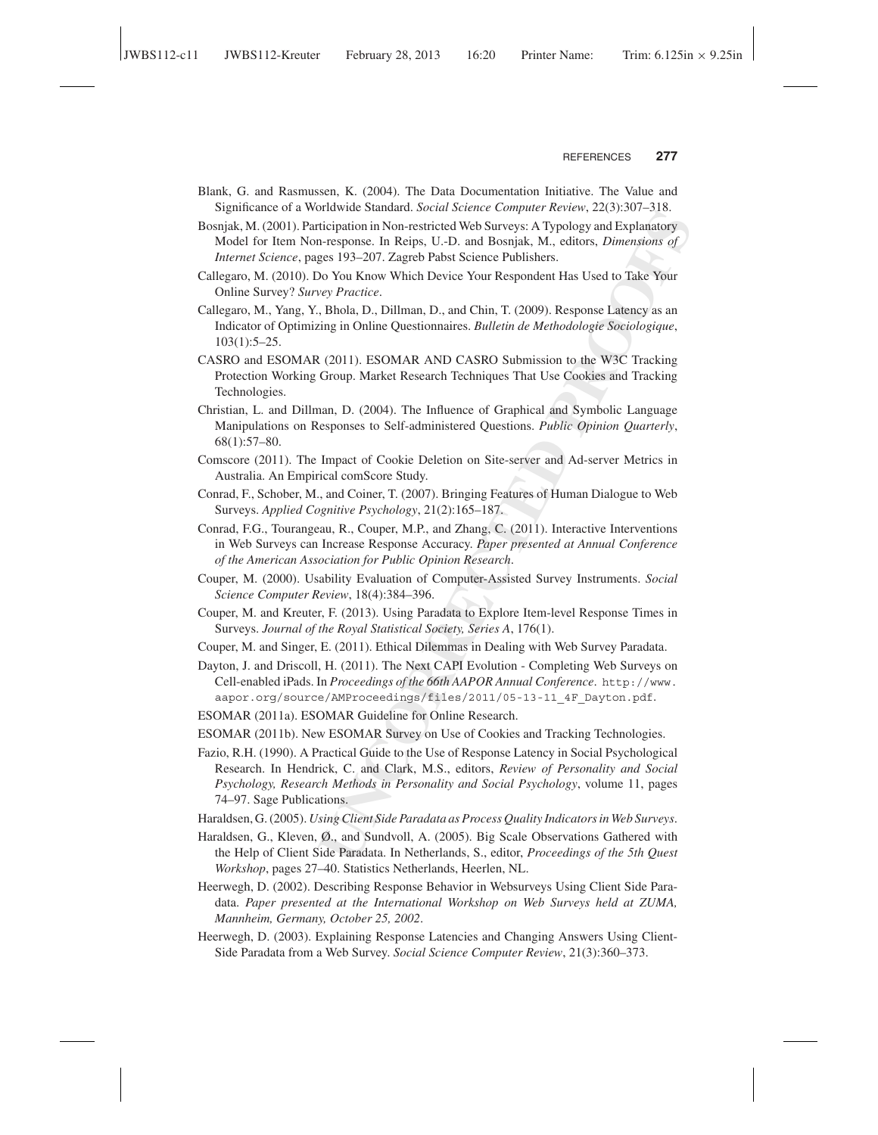JWBS112-c11 JWBS112-Kreuter February 28, 2013 16:20 Printer Name: Trim: 6.125in × 9.25in

REFERENCES **277**

- Blank, G. and Rasmussen, K. (2004). The Data Documentation Initiative. The Value and Significance of a Worldwide Standard. *Social Science Computer Review*, 22(3):307–318.
- Bosnjak, M. (2001). Participation in Non-restricted Web Surveys: A Typology and Explanatory Model for Item Non-response. In Reips, U.-D. and Bosnjak, M., editors, *Dimensions of Internet Science*, pages 193–207. Zagreb Pabst Science Publishers.
- Callegaro, M. (2010). Do You Know Which Device Your Respondent Has Used to Take Your Online Survey? *Survey Practice*.
- Callegaro, M., Yang, Y., Bhola, D., Dillman, D., and Chin, T. (2009). Response Latency as an Indicator of Optimizing in Online Questionnaires. *Bulletin de Methodologie Sociologique*, 103(1):5–25.
- CASRO and ESOMAR (2011). ESOMAR AND CASRO Submission to the W3C Tracking Protection Working Group. Market Research Techniques That Use Cookies and Tracking Technologies.
- Christian, L. and Dillman, D. (2004). The Influence of Graphical and Symbolic Language Manipulations on Responses to Self-administered Questions. *Public Opinion Quarterly*, 68(1):57–80.
- Comscore (2011). The Impact of Cookie Deletion on Site-server and Ad-server Metrics in Australia. An Empirical comScore Study.
- Conrad, F., Schober, M., and Coiner, T. (2007). Bringing Features of Human Dialogue to Web Surveys. *Applied Cognitive Psychology*, 21(2):165–187.
- Conrad, F.G., Tourangeau, R., Couper, M.P., and Zhang, C. (2011). Interactive Interventions in Web Surveys can Increase Response Accuracy. *Paper presented at Annual Conference of the American Association for Public Opinion Research*.
- Couper, M. (2000). Usability Evaluation of Computer-Assisted Survey Instruments. *Social Science Computer Review*, 18(4):384–396.
- Couper, M. and Kreuter, F. (2013). Using Paradata to Explore Item-level Response Times in Surveys. *Journal of the Royal Statistical Society, Series A*, 176(1).
- Couper, M. and Singer, E. (2011). Ethical Dilemmas in Dealing with Web Survey Paradata.
- Dayton, J. and Driscoll, H. (2011). The Next CAPI Evolution Completing Web Surveys on Cell-enabled iPads. In *Proceedings of the 66th AAPOR Annual Conference*. http://www. aapor.org/source/AMProceedings/files/2011/05-13-11\_4F\_Dayton.pdf.
- ESOMAR (2011a). ESOMAR Guideline for Online Research.
- ESOMAR (2011b). New ESOMAR Survey on Use of Cookies and Tracking Technologies.
- Entained Containent Detail of the Complete Condition, 120,510 21,62,62 and Baylandicty<br>
Interaspos. In Reins, U.D. and Bonsjak, M., editors, *Dimensions of*<br>
11-response. In Reins, U.D. and Bonsjak, M., editors, *Dimensi* Fazio, R.H. (1990). A Practical Guide to the Use of Response Latency in Social Psychological Research. In Hendrick, C. and Clark, M.S., editors, *Review of Personality and Social Psychology, Research Methods in Personality and Social Psychology*, volume 11, pages 74–97. Sage Publications.
- Haraldsen, G. (2005). *Using Client Side Paradata as Process Quality Indicators in Web Surveys*.
- Haraldsen, G., Kleven, Ø., and Sundvoll, A. (2005). Big Scale Observations Gathered with the Help of Client Side Paradata. In Netherlands, S., editor, *Proceedings of the 5th Quest Workshop*, pages 27–40. Statistics Netherlands, Heerlen, NL.
- Heerwegh, D. (2002). Describing Response Behavior in Websurveys Using Client Side Paradata. *Paper presented at the International Workshop on Web Surveys held at ZUMA, Mannheim, Germany, October 25, 2002*.
- Heerwegh, D. (2003). Explaining Response Latencies and Changing Answers Using Client-Side Paradata from a Web Survey. *Social Science Computer Review*, 21(3):360–373.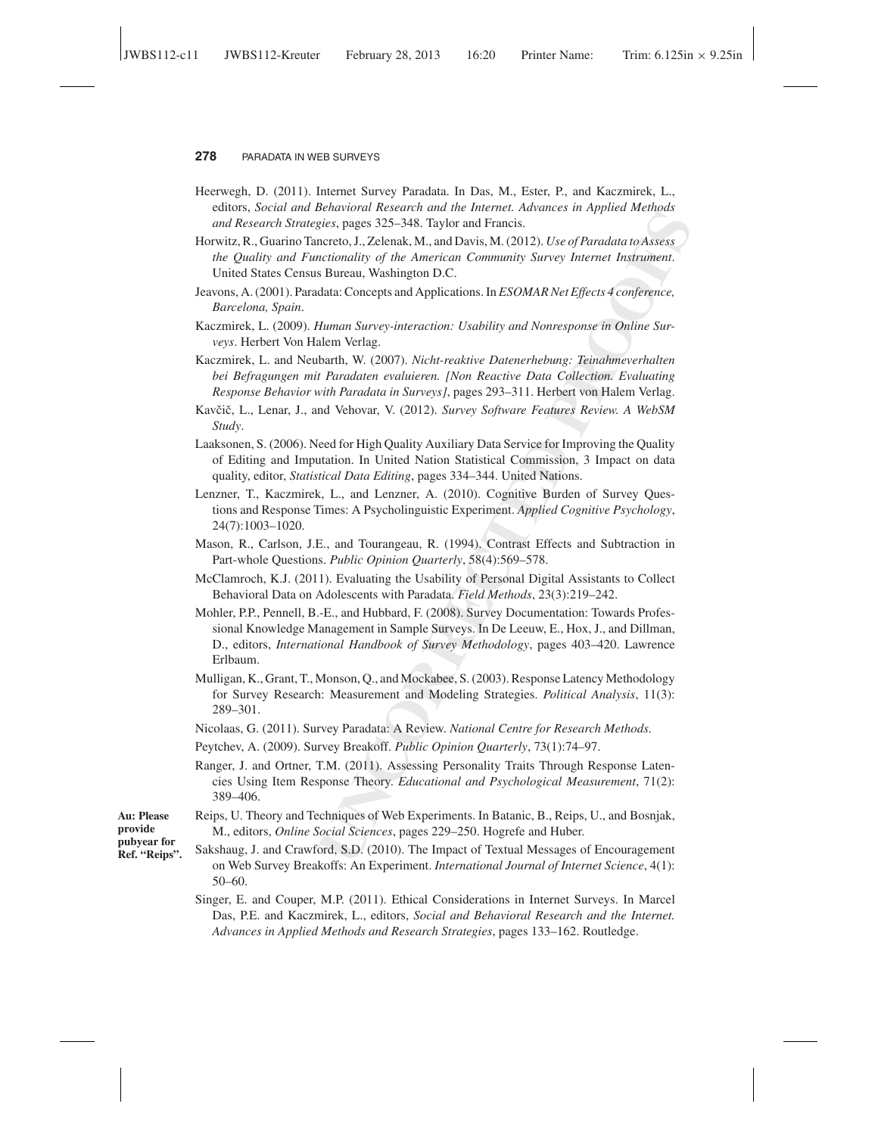- Heerwegh, D. (2011). Internet Survey Paradata. In Das, M., Ester, P., and Kaczmirek, L., editors, *Social and Behavioral Research and the Internet. Advances in Applied Methods and Research Strategies*, pages 325–348. Taylor and Francis.
- Horwitz, R., Guarino Tancreto, J., Zelenak, M., and Davis, M. (2012). *Use of Paradata to Assess the Quality and Functionality of the American Community Survey Internet Instrument*. United States Census Bureau, Washington D.C.
- Jeavons, A. (2001). Paradata: Concepts and Applications. In *ESOMAR Net Effects 4 conference, Barcelona, Spain*.
- Kaczmirek, L. (2009). *Human Survey-interaction: Usability and Nonresponse in Online Surveys*. Herbert Von Halem Verlag.
- Kaczmirek, L. and Neubarth, W. (2007). *Nicht-reaktive Datenerhebung: Teinahmeverhalten bei Befragungen mit Paradaten evaluieren. [Non Reactive Data Collection. Evaluating Response Behavior with Paradata in Surveys]*, pages 293–311. Herbert von Halem Verlag.
- Kavčič, L., Lenar, J., and Vehovar, V. (2012). Survey Software Features Review. A WebSM *Study*.
- Laaksonen, S. (2006). Need for High Quality Auxiliary Data Service for Improving the Quality of Editing and Imputation. In United Nation Statistical Commission, 3 Impact on data quality, editor, *Statistical Data Editing*, pages 334–344. United Nations.
- Lenzner, T., Kaczmirek, L., and Lenzner, A. (2010). Cognitive Burden of Survey Questions and Response Times: A Psycholinguistic Experiment. *Applied Cognitive Psychology*, 24(7):1003–1020.
- Mason, R., Carlson, J.E., and Tourangeau, R. (1994). Contrast Effects and Subtraction in Part-whole Questions. *Public Opinion Quarterly*, 58(4):569–578.
- McClamroch, K.J. (2011). Evaluating the Usability of Personal Digital Assistants to Collect Behavioral Data on Adolescents with Paradata. *Field Methods*, 23(3):219–242.
- From Markmann The Furning The Internetic Particular Sciences Control Control Control Control Control Control Sciences (*J. Zelenk, M., and Dasis, M.* (2012). Use of Paradata to Assess cretionality of the American Community Mohler, P.P., Pennell, B.-E., and Hubbard, F. (2008). Survey Documentation: Towards Professional Knowledge Management in Sample Surveys. In De Leeuw, E., Hox, J., and Dillman, D., editors, *International Handbook of Survey Methodology*, pages 403–420. Lawrence Erlbaum.
- Mulligan, K., Grant, T., Monson, Q., and Mockabee, S. (2003). Response Latency Methodology for Survey Research: Measurement and Modeling Strategies. *Political Analysis*, 11(3): 289–301.
- Nicolaas, G. (2011). Survey Paradata: A Review. *National Centre for Research Methods*.
- Peytchev, A. (2009). Survey Breakoff. *Public Opinion Quarterly*, 73(1):74–97.
- Ranger, J. and Ortner, T.M. (2011). Assessing Personality Traits Through Response Latencies Using Item Response Theory. *Educational and Psychological Measurement*, 71(2): 389–406.

**provide pubyear for Ref. "Reips".**

- **Au: Please** Reips, U. Theory and Techniques of Web Experiments. In Batanic, B., Reips, U., and Bosnjak, M., editors, *Online Social Sciences*, pages 229–250. Hogrefe and Huber.
	- Sakshaug, J. and Crawford, S.D. (2010). The Impact of Textual Messages of Encouragement on Web Survey Breakoffs: An Experiment. *International Journal of Internet Science*, 4(1): 50–60.
	- Singer, E. and Couper, M.P. (2011). Ethical Considerations in Internet Surveys. In Marcel Das, P.E. and Kaczmirek, L., editors, *Social and Behavioral Research and the Internet. Advances in Applied Methods and Research Strategies*, pages 133–162. Routledge.